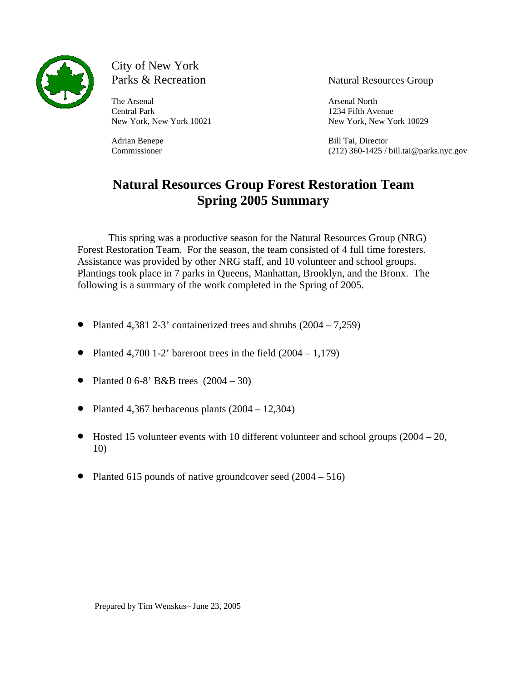

# City of New York

The Arsenal Arsenal Arsenal Arsenal North and Arsenal North and Arsenal North and Arsenal North and Arsenal North and Arsenal North and Arsenal North and Arsenal North and Arsenal North and Arsenal North and Arsenal North Central Park 1234 Fifth Avenue

Parks & Recreation Natural Resources Group

New York, New York 10021 New York, New York 10029

Adrian Benepe Bill Tai, Director Commissioner (212) 360-1425 / bill.tai@parks.nyc.gov

# **Natural Resources Group Forest Restoration Team Spring 2005 Summary**

This spring was a productive season for the Natural Resources Group (NRG) Forest Restoration Team. For the season, the team consisted of 4 full time foresters. Assistance was provided by other NRG staff, and 10 volunteer and school groups. Plantings took place in 7 parks in Queens, Manhattan, Brooklyn, and the Bronx. The following is a summary of the work completed in the Spring of 2005.

- Planted 4,381 2-3' containerized trees and shrubs  $(2004 7,259)$
- Planted 4,700 1-2' bareroot trees in the field  $(2004 1,179)$
- Planted 0 6-8' B&B trees  $(2004 30)$
- Planted 4,367 herbaceous plants  $(2004 12,304)$
- Hosted 15 volunteer events with 10 different volunteer and school groups  $(2004 20, 1000)$ 10)
- Planted 615 pounds of native groundcover seed (2004 516)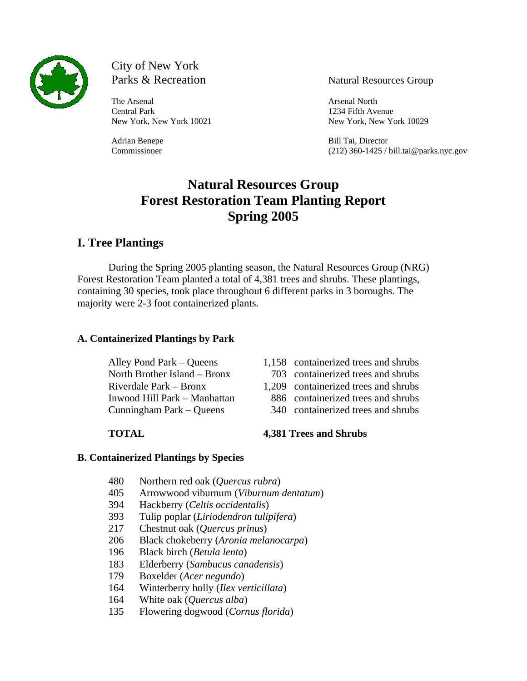

# City of New York

The Arsenal Arsenal Arsenal Arsenal North Central Park 1234 Fifth Avenue

Parks & Recreation Natural Resources Group

New York, New York 10021 New York, New York 10029

Adrian Benepe Bill Tai, Director Commissioner (212) 360-1425 / bill.tai@parks.nyc.gov

## **Natural Resources Group Forest Restoration Team Planting Report Spring 2005**

## **I. Tree Plantings**

During the Spring 2005 planting season, the Natural Resources Group (NRG) Forest Restoration Team planted a total of 4,381 trees and shrubs. These plantings, containing 30 species, took place throughout 6 different parks in 3 boroughs. The majority were 2-3 foot containerized plants.

### **A. Containerized Plantings by Park**

| Alley Pond Park – Queens     | 1,158 containerized trees and shrubs |
|------------------------------|--------------------------------------|
| North Brother Island - Bronx | 703 containerized trees and shrubs   |
| Riverdale Park – Bronx       | 1,209 containerized trees and shrubs |
| Inwood Hill Park – Manhattan | 886 containerized trees and shrubs   |
| Cunningham Park – Queens     | 340 containerized trees and shrubs   |

**TOTAL 4,381 Trees and Shrubs**

### **B. Containerized Plantings by Species**

- 480 Northern red oak (*Quercus rubra*)
- 405 Arrowwood viburnum (*Viburnum dentatum*)
- 394 Hackberry (*Celtis occidentalis*)
- 393 Tulip poplar (*Liriodendron tulipifera*)
- 217 Chestnut oak (*Quercus prinus*)
- 206 Black chokeberry (*Aronia melanocarpa*)
- 196 Black birch (*Betula lenta*)
- 183 Elderberry (*Sambucus canadensis*)
- 179 Boxelder (*Acer negundo*)
- 164 Winterberry holly (*Ilex verticillata*)
- 164 White oak (*Quercus alba*)
- 135 Flowering dogwood (*Cornus florida*)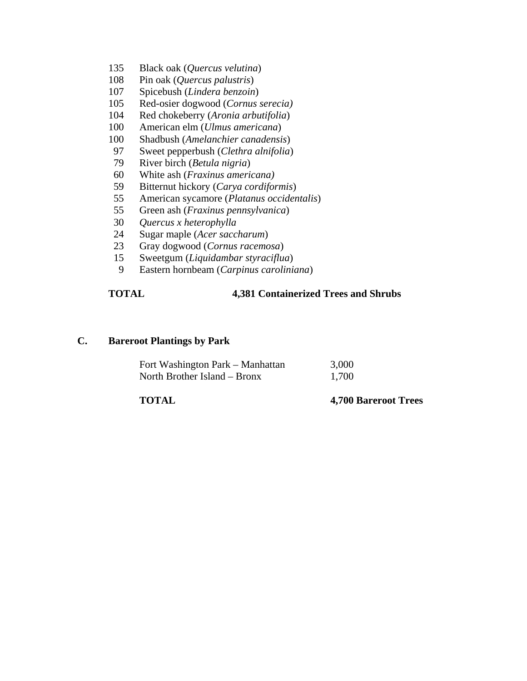- 135 Black oak (*Quercus velutina*)
- 108 Pin oak (*Quercus palustris*)
- 107 Spicebush (*Lindera benzoin*)
- 105 Red-osier dogwood (*Cornus serecia)*
- 104 Red chokeberry (*Aronia arbutifolia*)
- 100 American elm (*Ulmus americana*)
- 100 Shadbush (*Amelanchier canadensis*)
- 97 Sweet pepperbush (*Clethra alnifolia*)
- 79 River birch (*Betula nigria*)
- 60 White ash (*Fraxinus americana)*
- 59 Bitternut hickory (*Carya cordiformis*)
- 55 American sycamore (*Platanus occidentalis*)
- 55 Green ash (*Fraxinus pennsylvanica*)
- 30 *Quercus x heterophylla*
- 24 Sugar maple (*Acer saccharum*)
- 23 Gray dogwood (*Cornus racemosa*)
- 15 Sweetgum (*Liquidambar styraciflua*)
- 9 Eastern hornbeam (*Carpinus caroliniana*)

#### **TOTAL 4,381 Containerized Trees and Shrubs**

### **C. Bareroot Plantings by Park**

| Fort Washington Park – Manhattan | 3,000 |
|----------------------------------|-------|
| North Brother Island – Bronx     | 1,700 |

#### **TOTAL 4,700 Bareroot Trees**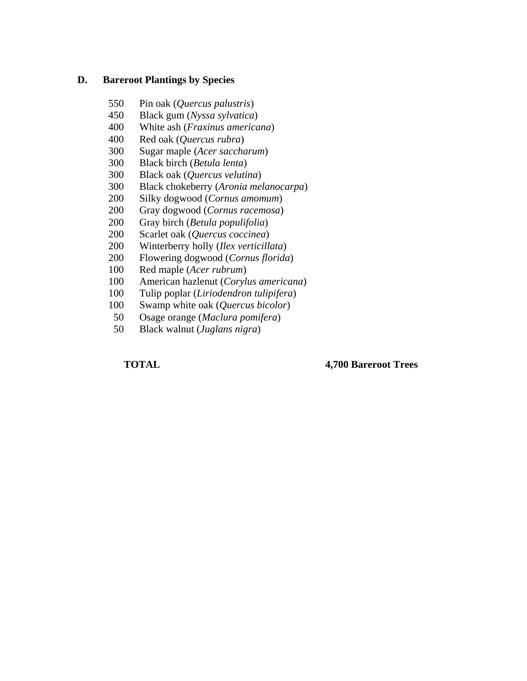#### **D. Bareroot Plantings by Species**

- 550 Pin oak (*Quercus palustris*)
- 450 Black gum (*Nyssa sylvatica*)
- 400 White ash (*Fraxinus americana*)
- 400 Red oak (*Quercus rubra*)
- 300 Sugar maple (*Acer saccharum*)
- 300 Black birch (*Betula lenta*)
- 300 Black oak (*Quercus velutina*)
- 300 Black chokeberry (*Aronia melanocarpa*)
- 200 Silky dogwood (*Cornus amomum*)
- 200 Gray dogwood (*Cornus racemosa*)
- 200 Gray birch (*Betula populifolia*)
- 200 Scarlet oak (*Quercus coccinea*)
- 200 Winterberry holly (*Ilex verticillata*)
- 200 Flowering dogwood (*Cornus florida*)
- 100 Red maple (*Acer rubrum*)
- 100 American hazlenut (*Corylus americana*)
- 100 Tulip poplar (*Liriodendron tulipifera*)
- 100 Swamp white oak (*Quercus bicolor*)
- 50 Osage orange (*Maclura pomifera*)
- 50 Black walnut (*Juglans nigra*)

**TOTAL 4,700 Bareroot Trees**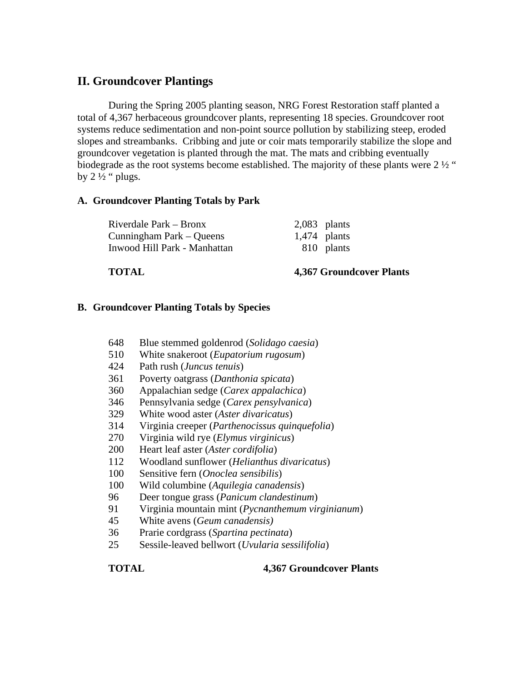## **II. Groundcover Plantings**

During the Spring 2005 planting season, NRG Forest Restoration staff planted a total of 4,367 herbaceous groundcover plants, representing 18 species. Groundcover root systems reduce sedimentation and non-point source pollution by stabilizing steep, eroded slopes and streambanks. Cribbing and jute or coir mats temporarily stabilize the slope and groundcover vegetation is planted through the mat. The mats and cribbing eventually biodegrade as the root systems become established. The majority of these plants were 2  $\frac{1}{2}$  " by  $2\frac{1}{2}$  " plugs.

#### **A. Groundcover Planting Totals by Park**

| Riverdale Park – Bronx       | $2,083$ plants |            |
|------------------------------|----------------|------------|
| Cunningham Park – Queens     | $1,474$ plants |            |
| Inwood Hill Park - Manhattan |                | 810 plants |

#### **TOTAL 4,367 Groundcover Plants**

#### **B. Groundcover Planting Totals by Species**

- 648 Blue stemmed goldenrod (*Solidago caesia*)
- 510 White snakeroot (*Eupatorium rugosum*)
- 424 Path rush (*Juncus tenuis*)
- 361 Poverty oatgrass (*Danthonia spicata*)
- 360 Appalachian sedge (*Carex appalachica*)
- 346 Pennsylvania sedge (*Carex pensylvanica*)
- 329 White wood aster (*Aster divaricatus*)
- 314 Virginia creeper (*Parthenocissus quinquefolia*)
- 270 Virginia wild rye (*Elymus virginicus*)
- 200 Heart leaf aster (*Aster cordifolia*)
- 112 Woodland sunflower (*Helianthus divaricatus*)
- 100 Sensitive fern (*Onoclea sensibilis*)
- 100 Wild columbine (*Aquilegia canadensis*)
- 96 Deer tongue grass (*Panicum clandestinum*)
- 91 Virginia mountain mint (*Pycnanthemum virginianum*)
- 45 White avens (*Geum canadensis)*
- 36 Prarie cordgrass (*Spartina pectinata*)
- 25 Sessile-leaved bellwort (*Uvularia sessilifolia*)

#### **TOTAL 4,367 Groundcover Plants**